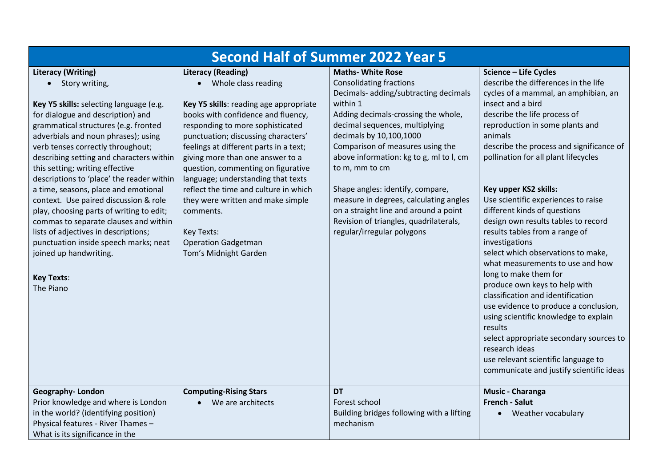| <b>Second Half of Summer 2022 Year 5</b>                                                                                                                                                                                                                                                                                                                                                                                                                                                                                                                                                                                                                                                         |                                                                                                                                                                                                                                                                                                                                                                                                                                                                                                                                         |                                                                                                                                                                                                                                                                                                                                                                                                                                                                                                                     |                                                                                                                                                                                                                                                                                                                                                                                                                                                                                                                                                                                                                                                                                                                                                                                                                                                                                                               |  |  |
|--------------------------------------------------------------------------------------------------------------------------------------------------------------------------------------------------------------------------------------------------------------------------------------------------------------------------------------------------------------------------------------------------------------------------------------------------------------------------------------------------------------------------------------------------------------------------------------------------------------------------------------------------------------------------------------------------|-----------------------------------------------------------------------------------------------------------------------------------------------------------------------------------------------------------------------------------------------------------------------------------------------------------------------------------------------------------------------------------------------------------------------------------------------------------------------------------------------------------------------------------------|---------------------------------------------------------------------------------------------------------------------------------------------------------------------------------------------------------------------------------------------------------------------------------------------------------------------------------------------------------------------------------------------------------------------------------------------------------------------------------------------------------------------|---------------------------------------------------------------------------------------------------------------------------------------------------------------------------------------------------------------------------------------------------------------------------------------------------------------------------------------------------------------------------------------------------------------------------------------------------------------------------------------------------------------------------------------------------------------------------------------------------------------------------------------------------------------------------------------------------------------------------------------------------------------------------------------------------------------------------------------------------------------------------------------------------------------|--|--|
| <b>Literacy (Writing)</b><br>• Story writing,<br>Key Y5 skills: selecting language (e.g.<br>for dialogue and description) and<br>grammatical structures (e.g. fronted<br>adverbials and noun phrases); using<br>verb tenses correctly throughout;<br>describing setting and characters within<br>this setting; writing effective<br>descriptions to 'place' the reader within<br>a time, seasons, place and emotional<br>context. Use paired discussion & role<br>play, choosing parts of writing to edit;<br>commas to separate clauses and within<br>lists of adjectives in descriptions;<br>punctuation inside speech marks; neat<br>joined up handwriting.<br><b>Key Texts:</b><br>The Piano | <b>Literacy (Reading)</b><br>• Whole class reading<br>Key Y5 skills: reading age appropriate<br>books with confidence and fluency,<br>responding to more sophisticated<br>punctuation; discussing characters'<br>feelings at different parts in a text;<br>giving more than one answer to a<br>question, commenting on figurative<br>language; understanding that texts<br>reflect the time and culture in which<br>they were written and make simple<br>comments.<br>Key Texts:<br><b>Operation Gadgetman</b><br>Tom's Midnight Garden | <b>Maths- White Rose</b><br><b>Consolidating fractions</b><br>Decimals- adding/subtracting decimals<br>within 1<br>Adding decimals-crossing the whole,<br>decimal sequences, multiplying<br>decimals by 10,100,1000<br>Comparison of measures using the<br>above information: kg to g, ml to l, cm<br>to m, mm to cm<br>Shape angles: identify, compare,<br>measure in degrees, calculating angles<br>on a straight line and around a point<br>Revision of triangles, quadrilaterals,<br>regular/irregular polygons | Science - Life Cycles<br>describe the differences in the life<br>cycles of a mammal, an amphibian, an<br>insect and a bird<br>describe the life process of<br>reproduction in some plants and<br>animals<br>describe the process and significance of<br>pollination for all plant lifecycles<br>Key upper KS2 skills:<br>Use scientific experiences to raise<br>different kinds of questions<br>design own results tables to record<br>results tables from a range of<br>investigations<br>select which observations to make,<br>what measurements to use and how<br>long to make them for<br>produce own keys to help with<br>classification and identification<br>use evidence to produce a conclusion,<br>using scientific knowledge to explain<br>results<br>select appropriate secondary sources to<br>research ideas<br>use relevant scientific language to<br>communicate and justify scientific ideas |  |  |
| Geography-London<br>Prior knowledge and where is London<br>in the world? (identifying position)<br>Physical features - River Thames -<br>What is its significance in the                                                                                                                                                                                                                                                                                                                                                                                                                                                                                                                         | <b>Computing-Rising Stars</b><br>We are architects                                                                                                                                                                                                                                                                                                                                                                                                                                                                                      | <b>DT</b><br>Forest school<br>Building bridges following with a lifting<br>mechanism                                                                                                                                                                                                                                                                                                                                                                                                                                | Music - Charanga<br><b>French - Salut</b><br>Weather vocabulary                                                                                                                                                                                                                                                                                                                                                                                                                                                                                                                                                                                                                                                                                                                                                                                                                                               |  |  |